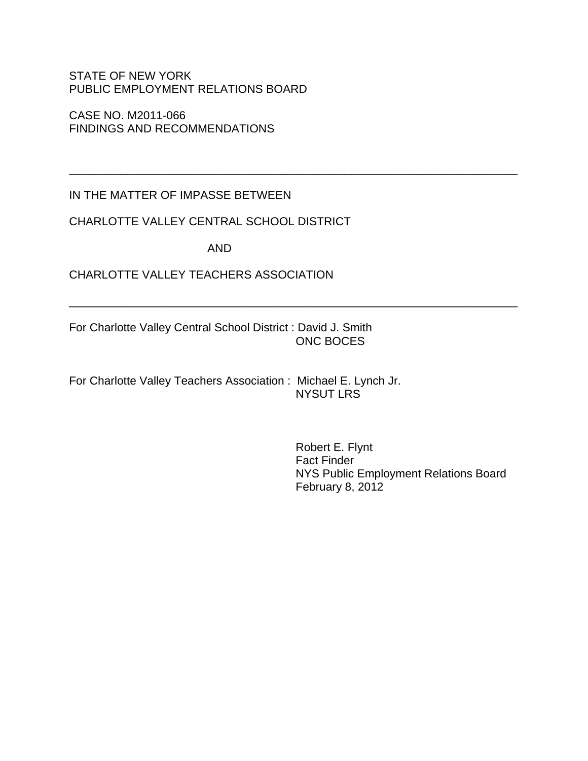### STATE OF NEW YORK PUBLIC EMPLOYMENT RELATIONS BOARD

CASE NO. M2011-066 FINDINGS AND RECOMMENDATIONS

IN THE MATTER OF IMPASSE BETWEEN

## CHARLOTTE VALLEY CENTRAL SCHOOL DISTRICT

AND

\_\_\_\_\_\_\_\_\_\_\_\_\_\_\_\_\_\_\_\_\_\_\_\_\_\_\_\_\_\_\_\_\_\_\_\_\_\_\_\_\_\_\_\_\_\_\_\_\_\_\_\_\_\_\_\_\_\_\_\_\_\_\_\_\_\_\_\_\_\_

\_\_\_\_\_\_\_\_\_\_\_\_\_\_\_\_\_\_\_\_\_\_\_\_\_\_\_\_\_\_\_\_\_\_\_\_\_\_\_\_\_\_\_\_\_\_\_\_\_\_\_\_\_\_\_\_\_\_\_\_\_\_\_\_\_\_\_\_\_\_

## CHARLOTTE VALLEY TEACHERS ASSOCIATION

For Charlotte Valley Central School District : David J. Smith ONC BOCES

For Charlotte Valley Teachers Association : Michael E. Lynch Jr. NYSUT LRS

> Robert E. Flynt Fact Finder NYS Public Employment Relations Board February 8, 2012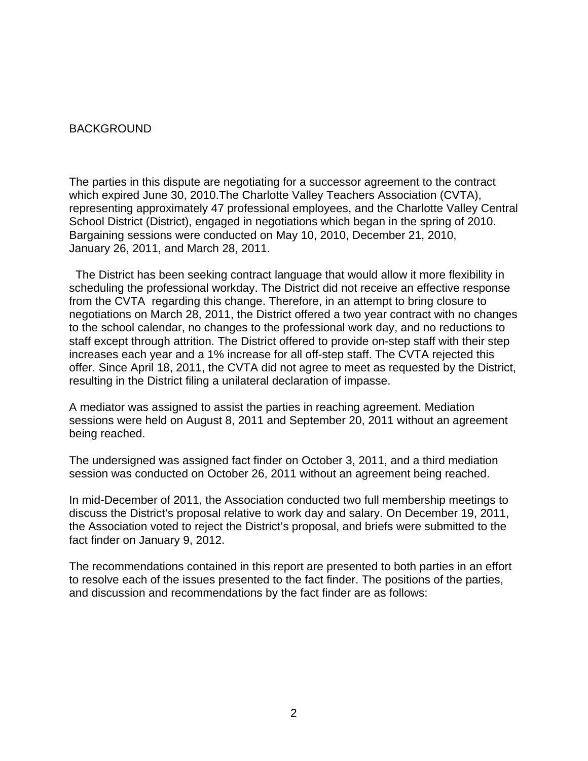#### **BACKGROUND**

The parties in this dispute are negotiating for a successor agreement to the contract which expired June 30, 2010.The Charlotte Valley Teachers Association (CVTA), representing approximately 47 professional employees, and the Charlotte Valley Central School District (District), engaged in negotiations which began in the spring of 2010. Bargaining sessions were conducted on May 10, 2010, December 21, 2010, January 26, 2011, and March 28, 2011.

 The District has been seeking contract language that would allow it more flexibility in scheduling the professional workday. The District did not receive an effective response from the CVTA regarding this change. Therefore, in an attempt to bring closure to negotiations on March 28, 2011, the District offered a two year contract with no changes to the school calendar, no changes to the professional work day, and no reductions to staff except through attrition. The District offered to provide on-step staff with their step increases each year and a 1% increase for all off-step staff. The CVTA rejected this offer. Since April 18, 2011, the CVTA did not agree to meet as requested by the District, resulting in the District filing a unilateral declaration of impasse.

A mediator was assigned to assist the parties in reaching agreement. Mediation sessions were held on August 8, 2011 and September 20, 2011 without an agreement being reached.

The undersigned was assigned fact finder on October 3, 2011, and a third mediation session was conducted on October 26, 2011 without an agreement being reached.

In mid-December of 2011, the Association conducted two full membership meetings to discuss the District's proposal relative to work day and salary. On December 19, 2011, the Association voted to reject the District's proposal, and briefs were submitted to the fact finder on January 9, 2012.

The recommendations contained in this report are presented to both parties in an effort to resolve each of the issues presented to the fact finder. The positions of the parties, and discussion and recommendations by the fact finder are as follows: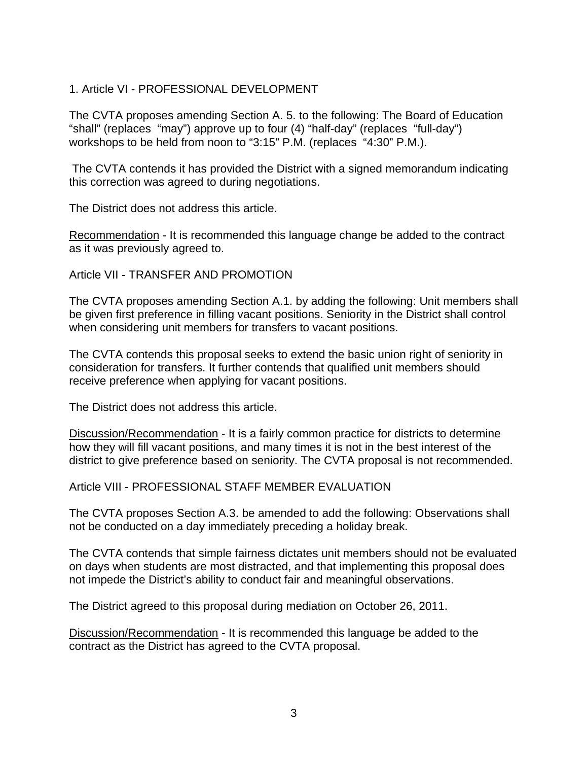## 1. Article VI - PROFESSIONAL DEVELOPMENT

The CVTA proposes amending Section A. 5. to the following: The Board of Education "shall" (replaces "may") approve up to four (4) "half-day" (replaces "full-day") workshops to be held from noon to "3:15" P.M. (replaces "4:30" P.M.).

 The CVTA contends it has provided the District with a signed memorandum indicating this correction was agreed to during negotiations.

The District does not address this article.

Recommendation - It is recommended this language change be added to the contract as it was previously agreed to.

Article VII - TRANSFER AND PROMOTION

The CVTA proposes amending Section A.1. by adding the following: Unit members shall be given first preference in filling vacant positions. Seniority in the District shall control when considering unit members for transfers to vacant positions.

The CVTA contends this proposal seeks to extend the basic union right of seniority in consideration for transfers. It further contends that qualified unit members should receive preference when applying for vacant positions.

The District does not address this article.

Discussion/Recommendation - It is a fairly common practice for districts to determine how they will fill vacant positions, and many times it is not in the best interest of the district to give preference based on seniority. The CVTA proposal is not recommended.

Article VIII - PROFESSIONAL STAFF MEMBER EVALUATION

The CVTA proposes Section A.3. be amended to add the following: Observations shall not be conducted on a day immediately preceding a holiday break.

The CVTA contends that simple fairness dictates unit members should not be evaluated on days when students are most distracted, and that implementing this proposal does not impede the District's ability to conduct fair and meaningful observations.

The District agreed to this proposal during mediation on October 26, 2011.

Discussion/Recommendation - It is recommended this language be added to the contract as the District has agreed to the CVTA proposal.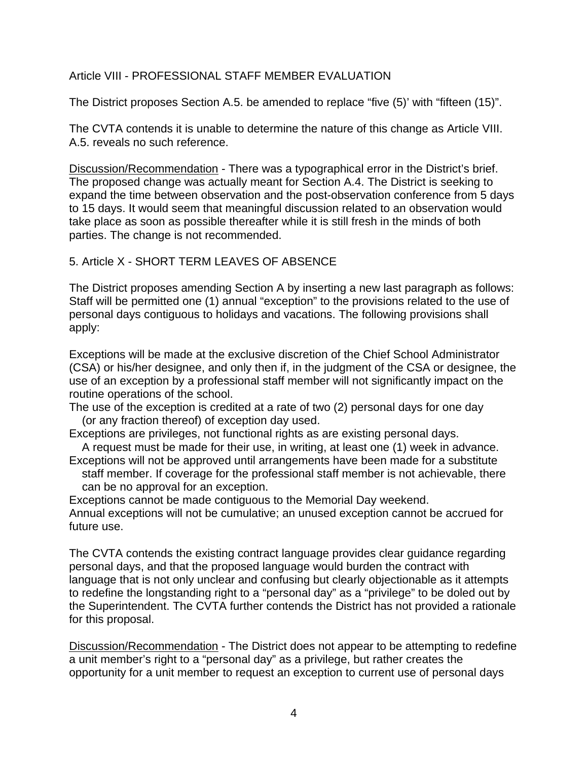## Article VIII - PROFESSIONAL STAFF MEMBER EVALUATION

The District proposes Section A.5. be amended to replace "five (5)' with "fifteen (15)".

The CVTA contends it is unable to determine the nature of this change as Article VIII. A.5. reveals no such reference.

Discussion/Recommendation - There was a typographical error in the District's brief. The proposed change was actually meant for Section A.4. The District is seeking to expand the time between observation and the post-observation conference from 5 days to 15 days. It would seem that meaningful discussion related to an observation would take place as soon as possible thereafter while it is still fresh in the minds of both parties. The change is not recommended.

## 5. Article X - SHORT TERM LEAVES OF ABSENCE

The District proposes amending Section A by inserting a new last paragraph as follows: Staff will be permitted one (1) annual "exception" to the provisions related to the use of personal days contiguous to holidays and vacations. The following provisions shall apply:

Exceptions will be made at the exclusive discretion of the Chief School Administrator (CSA) or his/her designee, and only then if, in the judgment of the CSA or designee, the use of an exception by a professional staff member will not significantly impact on the routine operations of the school.

The use of the exception is credited at a rate of two (2) personal days for one day (or any fraction thereof) of exception day used.

Exceptions are privileges, not functional rights as are existing personal days. A request must be made for their use, in writing, at least one (1) week in advance.

Exceptions will not be approved until arrangements have been made for a substitute

 staff member. If coverage for the professional staff member is not achievable, there can be no approval for an exception.

Exceptions cannot be made contiguous to the Memorial Day weekend. Annual exceptions will not be cumulative; an unused exception cannot be accrued for future use.

The CVTA contends the existing contract language provides clear guidance regarding personal days, and that the proposed language would burden the contract with language that is not only unclear and confusing but clearly objectionable as it attempts to redefine the longstanding right to a "personal day" as a "privilege" to be doled out by the Superintendent. The CVTA further contends the District has not provided a rationale for this proposal.

Discussion/Recommendation - The District does not appear to be attempting to redefine a unit member's right to a "personal day" as a privilege, but rather creates the opportunity for a unit member to request an exception to current use of personal days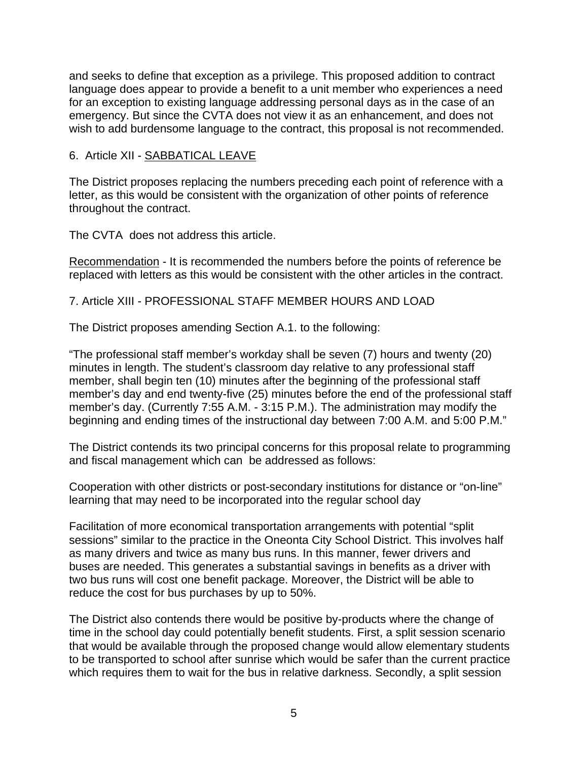and seeks to define that exception as a privilege. This proposed addition to contract language does appear to provide a benefit to a unit member who experiences a need for an exception to existing language addressing personal days as in the case of an emergency. But since the CVTA does not view it as an enhancement, and does not wish to add burdensome language to the contract, this proposal is not recommended.

#### 6. Article XII - SABBATICAL LEAVE

The District proposes replacing the numbers preceding each point of reference with a letter, as this would be consistent with the organization of other points of reference throughout the contract.

The CVTA does not address this article.

Recommendation - It is recommended the numbers before the points of reference be replaced with letters as this would be consistent with the other articles in the contract.

7. Article XIII - PROFESSIONAL STAFF MEMBER HOURS AND LOAD

The District proposes amending Section A.1. to the following:

"The professional staff member's workday shall be seven (7) hours and twenty (20) minutes in length. The student's classroom day relative to any professional staff member, shall begin ten (10) minutes after the beginning of the professional staff member's day and end twenty-five (25) minutes before the end of the professional staff member's day. (Currently 7:55 A.M. - 3:15 P.M.). The administration may modify the beginning and ending times of the instructional day between 7:00 A.M. and 5:00 P.M."

The District contends its two principal concerns for this proposal relate to programming and fiscal management which can be addressed as follows:

Cooperation with other districts or post-secondary institutions for distance or "on-line" learning that may need to be incorporated into the regular school day

Facilitation of more economical transportation arrangements with potential "split sessions" similar to the practice in the Oneonta City School District. This involves half as many drivers and twice as many bus runs. In this manner, fewer drivers and buses are needed. This generates a substantial savings in benefits as a driver with two bus runs will cost one benefit package. Moreover, the District will be able to reduce the cost for bus purchases by up to 50%.

The District also contends there would be positive by-products where the change of time in the school day could potentially benefit students. First, a split session scenario that would be available through the proposed change would allow elementary students to be transported to school after sunrise which would be safer than the current practice which requires them to wait for the bus in relative darkness. Secondly, a split session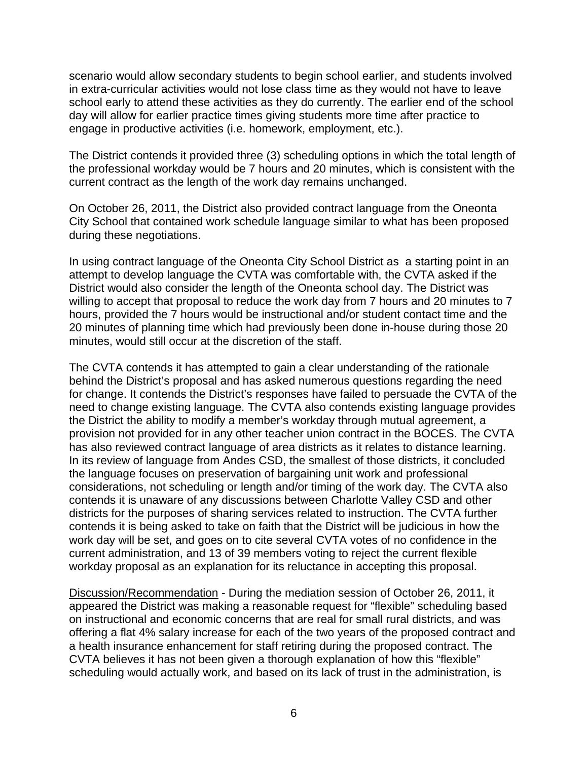scenario would allow secondary students to begin school earlier, and students involved in extra-curricular activities would not lose class time as they would not have to leave school early to attend these activities as they do currently. The earlier end of the school day will allow for earlier practice times giving students more time after practice to engage in productive activities (i.e. homework, employment, etc.).

The District contends it provided three (3) scheduling options in which the total length of the professional workday would be 7 hours and 20 minutes, which is consistent with the current contract as the length of the work day remains unchanged.

On October 26, 2011, the District also provided contract language from the Oneonta City School that contained work schedule language similar to what has been proposed during these negotiations.

In using contract language of the Oneonta City School District as a starting point in an attempt to develop language the CVTA was comfortable with, the CVTA asked if the District would also consider the length of the Oneonta school day. The District was willing to accept that proposal to reduce the work day from 7 hours and 20 minutes to 7 hours, provided the 7 hours would be instructional and/or student contact time and the 20 minutes of planning time which had previously been done in-house during those 20 minutes, would still occur at the discretion of the staff.

The CVTA contends it has attempted to gain a clear understanding of the rationale behind the District's proposal and has asked numerous questions regarding the need for change. It contends the District's responses have failed to persuade the CVTA of the need to change existing language. The CVTA also contends existing language provides the District the ability to modify a member's workday through mutual agreement, a provision not provided for in any other teacher union contract in the BOCES. The CVTA has also reviewed contract language of area districts as it relates to distance learning. In its review of language from Andes CSD, the smallest of those districts, it concluded the language focuses on preservation of bargaining unit work and professional considerations, not scheduling or length and/or timing of the work day. The CVTA also contends it is unaware of any discussions between Charlotte Valley CSD and other districts for the purposes of sharing services related to instruction. The CVTA further contends it is being asked to take on faith that the District will be judicious in how the work day will be set, and goes on to cite several CVTA votes of no confidence in the current administration, and 13 of 39 members voting to reject the current flexible workday proposal as an explanation for its reluctance in accepting this proposal.

Discussion/Recommendation - During the mediation session of October 26, 2011, it appeared the District was making a reasonable request for "flexible" scheduling based on instructional and economic concerns that are real for small rural districts, and was offering a flat 4% salary increase for each of the two years of the proposed contract and a health insurance enhancement for staff retiring during the proposed contract. The CVTA believes it has not been given a thorough explanation of how this "flexible" scheduling would actually work, and based on its lack of trust in the administration, is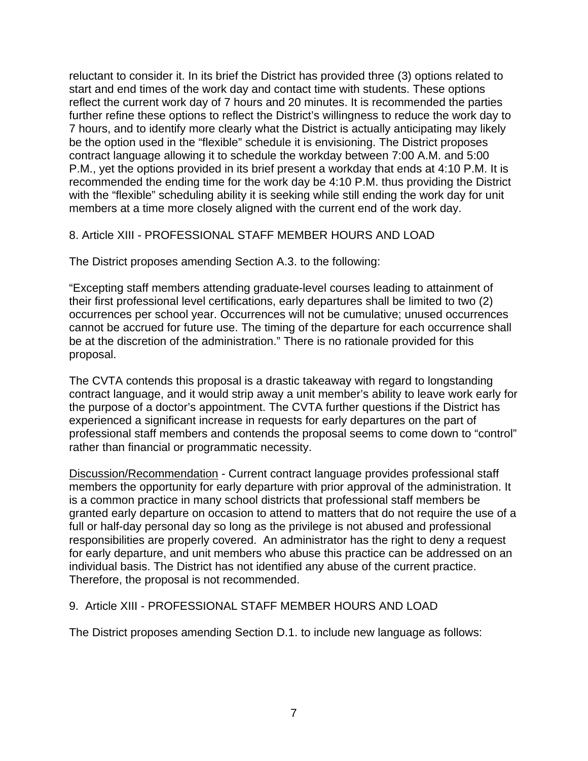reluctant to consider it. In its brief the District has provided three (3) options related to start and end times of the work day and contact time with students. These options reflect the current work day of 7 hours and 20 minutes. It is recommended the parties further refine these options to reflect the District's willingness to reduce the work day to 7 hours, and to identify more clearly what the District is actually anticipating may likely be the option used in the "flexible" schedule it is envisioning. The District proposes contract language allowing it to schedule the workday between 7:00 A.M. and 5:00 P.M., yet the options provided in its brief present a workday that ends at 4:10 P.M. It is recommended the ending time for the work day be 4:10 P.M. thus providing the District with the "flexible" scheduling ability it is seeking while still ending the work day for unit members at a time more closely aligned with the current end of the work day.

## 8. Article XIII - PROFESSIONAL STAFF MEMBER HOURS AND LOAD

The District proposes amending Section A.3. to the following:

"Excepting staff members attending graduate-level courses leading to attainment of their first professional level certifications, early departures shall be limited to two (2) occurrences per school year. Occurrences will not be cumulative; unused occurrences cannot be accrued for future use. The timing of the departure for each occurrence shall be at the discretion of the administration." There is no rationale provided for this proposal.

The CVTA contends this proposal is a drastic takeaway with regard to longstanding contract language, and it would strip away a unit member's ability to leave work early for the purpose of a doctor's appointment. The CVTA further questions if the District has experienced a significant increase in requests for early departures on the part of professional staff members and contends the proposal seems to come down to "control" rather than financial or programmatic necessity.

Discussion/Recommendation - Current contract language provides professional staff members the opportunity for early departure with prior approval of the administration. It is a common practice in many school districts that professional staff members be granted early departure on occasion to attend to matters that do not require the use of a full or half-day personal day so long as the privilege is not abused and professional responsibilities are properly covered. An administrator has the right to deny a request for early departure, and unit members who abuse this practice can be addressed on an individual basis. The District has not identified any abuse of the current practice. Therefore, the proposal is not recommended.

### 9. Article XIII - PROFESSIONAL STAFF MEMBER HOURS AND LOAD

The District proposes amending Section D.1. to include new language as follows: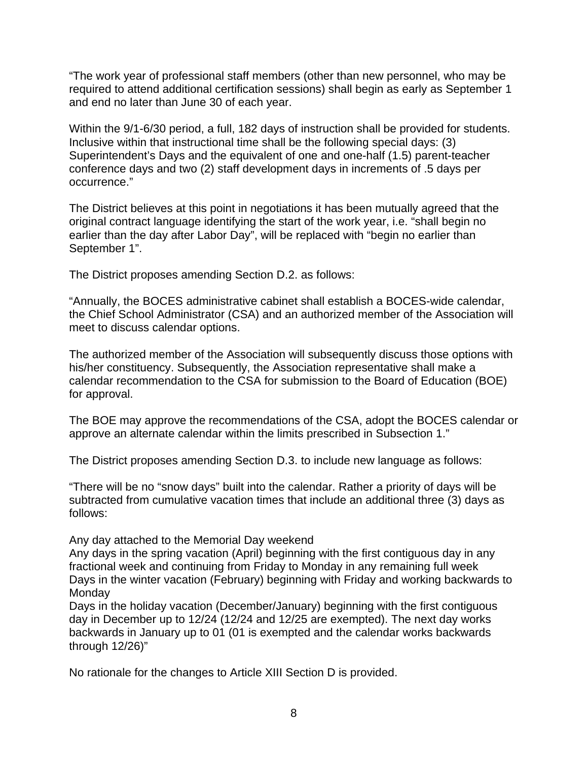"The work year of professional staff members (other than new personnel, who may be required to attend additional certification sessions) shall begin as early as September 1 and end no later than June 30 of each year.

Within the 9/1-6/30 period, a full, 182 days of instruction shall be provided for students. Inclusive within that instructional time shall be the following special days: (3) Superintendent's Days and the equivalent of one and one-half (1.5) parent-teacher conference days and two (2) staff development days in increments of .5 days per occurrence."

The District believes at this point in negotiations it has been mutually agreed that the original contract language identifying the start of the work year, i.e. "shall begin no earlier than the day after Labor Day", will be replaced with "begin no earlier than September 1".

The District proposes amending Section D.2. as follows:

"Annually, the BOCES administrative cabinet shall establish a BOCES-wide calendar, the Chief School Administrator (CSA) and an authorized member of the Association will meet to discuss calendar options.

The authorized member of the Association will subsequently discuss those options with his/her constituency. Subsequently, the Association representative shall make a calendar recommendation to the CSA for submission to the Board of Education (BOE) for approval.

The BOE may approve the recommendations of the CSA, adopt the BOCES calendar or approve an alternate calendar within the limits prescribed in Subsection 1."

The District proposes amending Section D.3. to include new language as follows:

"There will be no "snow days" built into the calendar. Rather a priority of days will be subtracted from cumulative vacation times that include an additional three (3) days as follows:

Any day attached to the Memorial Day weekend

Any days in the spring vacation (April) beginning with the first contiguous day in any fractional week and continuing from Friday to Monday in any remaining full week Days in the winter vacation (February) beginning with Friday and working backwards to **Monday** 

Days in the holiday vacation (December/January) beginning with the first contiguous day in December up to 12/24 (12/24 and 12/25 are exempted). The next day works backwards in January up to 01 (01 is exempted and the calendar works backwards through 12/26)"

No rationale for the changes to Article XIII Section D is provided.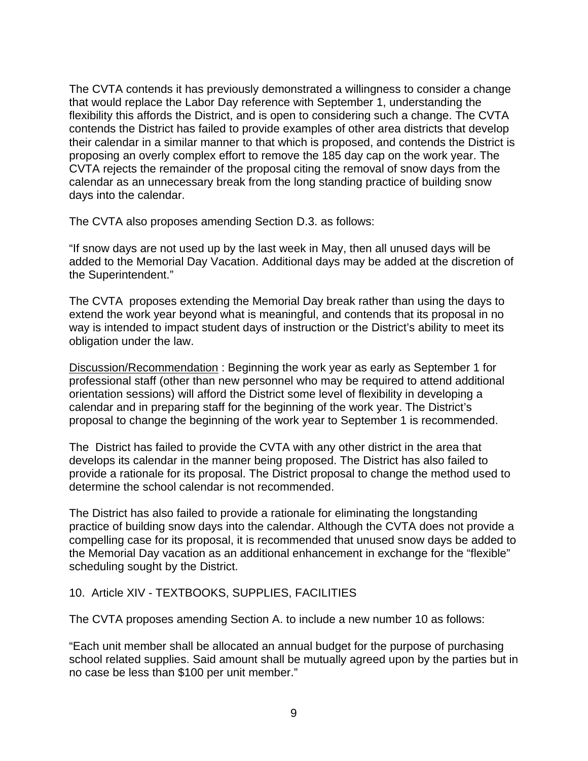The CVTA contends it has previously demonstrated a willingness to consider a change that would replace the Labor Day reference with September 1, understanding the flexibility this affords the District, and is open to considering such a change. The CVTA contends the District has failed to provide examples of other area districts that develop their calendar in a similar manner to that which is proposed, and contends the District is proposing an overly complex effort to remove the 185 day cap on the work year. The CVTA rejects the remainder of the proposal citing the removal of snow days from the calendar as an unnecessary break from the long standing practice of building snow days into the calendar.

The CVTA also proposes amending Section D.3. as follows:

"If snow days are not used up by the last week in May, then all unused days will be added to the Memorial Day Vacation. Additional days may be added at the discretion of the Superintendent."

The CVTA proposes extending the Memorial Day break rather than using the days to extend the work year beyond what is meaningful, and contends that its proposal in no way is intended to impact student days of instruction or the District's ability to meet its obligation under the law.

Discussion/Recommendation : Beginning the work year as early as September 1 for professional staff (other than new personnel who may be required to attend additional orientation sessions) will afford the District some level of flexibility in developing a calendar and in preparing staff for the beginning of the work year. The District's proposal to change the beginning of the work year to September 1 is recommended.

The District has failed to provide the CVTA with any other district in the area that develops its calendar in the manner being proposed. The District has also failed to provide a rationale for its proposal. The District proposal to change the method used to determine the school calendar is not recommended.

The District has also failed to provide a rationale for eliminating the longstanding practice of building snow days into the calendar. Although the CVTA does not provide a compelling case for its proposal, it is recommended that unused snow days be added to the Memorial Day vacation as an additional enhancement in exchange for the "flexible" scheduling sought by the District.

#### 10. Article XIV - TEXTBOOKS, SUPPLIES, FACILITIES

The CVTA proposes amending Section A. to include a new number 10 as follows:

"Each unit member shall be allocated an annual budget for the purpose of purchasing school related supplies. Said amount shall be mutually agreed upon by the parties but in no case be less than \$100 per unit member."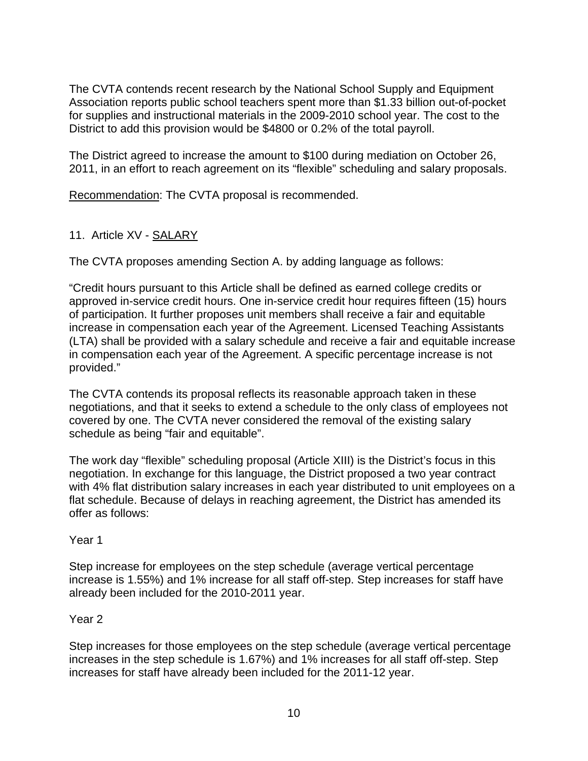The CVTA contends recent research by the National School Supply and Equipment Association reports public school teachers spent more than \$1.33 billion out-of-pocket for supplies and instructional materials in the 2009-2010 school year. The cost to the District to add this provision would be \$4800 or 0.2% of the total payroll.

The District agreed to increase the amount to \$100 during mediation on October 26, 2011, in an effort to reach agreement on its "flexible" scheduling and salary proposals.

Recommendation: The CVTA proposal is recommended.

# 11. Article XV - SALARY

The CVTA proposes amending Section A. by adding language as follows:

"Credit hours pursuant to this Article shall be defined as earned college credits or approved in-service credit hours. One in-service credit hour requires fifteen (15) hours of participation. It further proposes unit members shall receive a fair and equitable increase in compensation each year of the Agreement. Licensed Teaching Assistants (LTA) shall be provided with a salary schedule and receive a fair and equitable increase in compensation each year of the Agreement. A specific percentage increase is not provided."

The CVTA contends its proposal reflects its reasonable approach taken in these negotiations, and that it seeks to extend a schedule to the only class of employees not covered by one. The CVTA never considered the removal of the existing salary schedule as being "fair and equitable".

The work day "flexible" scheduling proposal (Article XIII) is the District's focus in this negotiation. In exchange for this language, the District proposed a two year contract with 4% flat distribution salary increases in each year distributed to unit employees on a flat schedule. Because of delays in reaching agreement, the District has amended its offer as follows:

## Year 1

Step increase for employees on the step schedule (average vertical percentage increase is 1.55%) and 1% increase for all staff off-step. Step increases for staff have already been included for the 2010-2011 year.

## Year 2

Step increases for those employees on the step schedule (average vertical percentage increases in the step schedule is 1.67%) and 1% increases for all staff off-step. Step increases for staff have already been included for the 2011-12 year.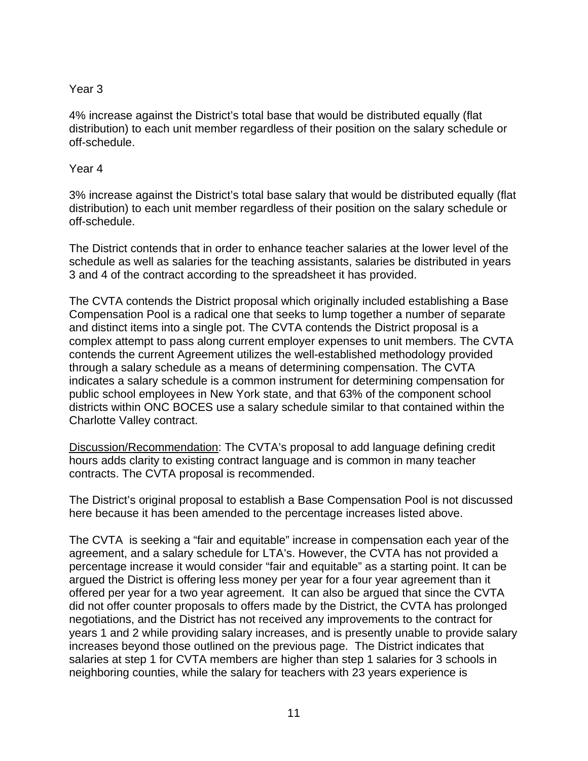## Year 3

4% increase against the District's total base that would be distributed equally (flat distribution) to each unit member regardless of their position on the salary schedule or off-schedule.

#### Year 4

3% increase against the District's total base salary that would be distributed equally (flat distribution) to each unit member regardless of their position on the salary schedule or off-schedule.

The District contends that in order to enhance teacher salaries at the lower level of the schedule as well as salaries for the teaching assistants, salaries be distributed in years 3 and 4 of the contract according to the spreadsheet it has provided.

The CVTA contends the District proposal which originally included establishing a Base Compensation Pool is a radical one that seeks to lump together a number of separate and distinct items into a single pot. The CVTA contends the District proposal is a complex attempt to pass along current employer expenses to unit members. The CVTA contends the current Agreement utilizes the well-established methodology provided through a salary schedule as a means of determining compensation. The CVTA indicates a salary schedule is a common instrument for determining compensation for public school employees in New York state, and that 63% of the component school districts within ONC BOCES use a salary schedule similar to that contained within the Charlotte Valley contract.

Discussion/Recommendation: The CVTA's proposal to add language defining credit hours adds clarity to existing contract language and is common in many teacher contracts. The CVTA proposal is recommended.

The District's original proposal to establish a Base Compensation Pool is not discussed here because it has been amended to the percentage increases listed above.

The CVTA is seeking a "fair and equitable" increase in compensation each year of the agreement, and a salary schedule for LTA's. However, the CVTA has not provided a percentage increase it would consider "fair and equitable" as a starting point. It can be argued the District is offering less money per year for a four year agreement than it offered per year for a two year agreement. It can also be argued that since the CVTA did not offer counter proposals to offers made by the District, the CVTA has prolonged negotiations, and the District has not received any improvements to the contract for years 1 and 2 while providing salary increases, and is presently unable to provide salary increases beyond those outlined on the previous page. The District indicates that salaries at step 1 for CVTA members are higher than step 1 salaries for 3 schools in neighboring counties, while the salary for teachers with 23 years experience is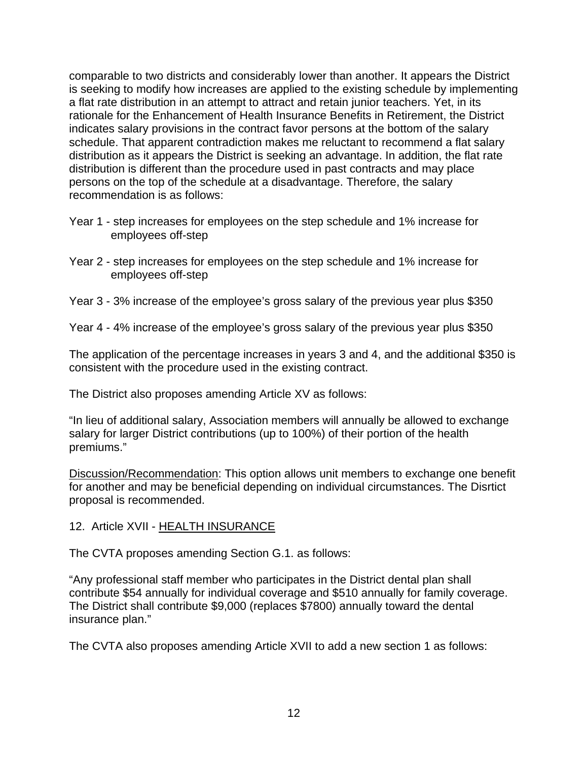comparable to two districts and considerably lower than another. It appears the District is seeking to modify how increases are applied to the existing schedule by implementing a flat rate distribution in an attempt to attract and retain junior teachers. Yet, in its rationale for the Enhancement of Health Insurance Benefits in Retirement, the District indicates salary provisions in the contract favor persons at the bottom of the salary schedule. That apparent contradiction makes me reluctant to recommend a flat salary distribution as it appears the District is seeking an advantage. In addition, the flat rate distribution is different than the procedure used in past contracts and may place persons on the top of the schedule at a disadvantage. Therefore, the salary recommendation is as follows:

- Year 1 step increases for employees on the step schedule and 1% increase for employees off-step
- Year 2 step increases for employees on the step schedule and 1% increase for employees off-step
- Year 3 3% increase of the employee's gross salary of the previous year plus \$350
- Year 4 4% increase of the employee's gross salary of the previous year plus \$350

The application of the percentage increases in years 3 and 4, and the additional \$350 is consistent with the procedure used in the existing contract.

The District also proposes amending Article XV as follows:

"In lieu of additional salary, Association members will annually be allowed to exchange salary for larger District contributions (up to 100%) of their portion of the health premiums."

Discussion/Recommendation: This option allows unit members to exchange one benefit for another and may be beneficial depending on individual circumstances. The Disrtict proposal is recommended.

12. Article XVII - HEALTH INSURANCE

The CVTA proposes amending Section G.1. as follows:

"Any professional staff member who participates in the District dental plan shall contribute \$54 annually for individual coverage and \$510 annually for family coverage. The District shall contribute \$9,000 (replaces \$7800) annually toward the dental insurance plan."

The CVTA also proposes amending Article XVII to add a new section 1 as follows: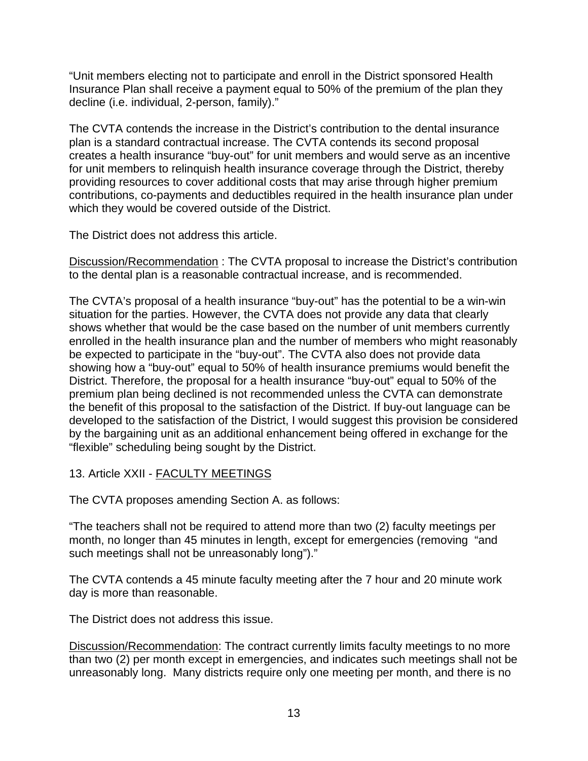"Unit members electing not to participate and enroll in the District sponsored Health Insurance Plan shall receive a payment equal to 50% of the premium of the plan they decline (i.e. individual, 2-person, family)."

The CVTA contends the increase in the District's contribution to the dental insurance plan is a standard contractual increase. The CVTA contends its second proposal creates a health insurance "buy-out" for unit members and would serve as an incentive for unit members to relinquish health insurance coverage through the District, thereby providing resources to cover additional costs that may arise through higher premium contributions, co-payments and deductibles required in the health insurance plan under which they would be covered outside of the District.

The District does not address this article.

Discussion/Recommendation : The CVTA proposal to increase the District's contribution to the dental plan is a reasonable contractual increase, and is recommended.

The CVTA's proposal of a health insurance "buy-out" has the potential to be a win-win situation for the parties. However, the CVTA does not provide any data that clearly shows whether that would be the case based on the number of unit members currently enrolled in the health insurance plan and the number of members who might reasonably be expected to participate in the "buy-out". The CVTA also does not provide data showing how a "buy-out" equal to 50% of health insurance premiums would benefit the District. Therefore, the proposal for a health insurance "buy-out" equal to 50% of the premium plan being declined is not recommended unless the CVTA can demonstrate the benefit of this proposal to the satisfaction of the District. If buy-out language can be developed to the satisfaction of the District, I would suggest this provision be considered by the bargaining unit as an additional enhancement being offered in exchange for the "flexible" scheduling being sought by the District.

# 13. Article XXII - FACULTY MEETINGS

The CVTA proposes amending Section A. as follows:

"The teachers shall not be required to attend more than two (2) faculty meetings per month, no longer than 45 minutes in length, except for emergencies (removing "and such meetings shall not be unreasonably long")."

The CVTA contends a 45 minute faculty meeting after the 7 hour and 20 minute work day is more than reasonable.

The District does not address this issue.

Discussion/Recommendation: The contract currently limits faculty meetings to no more than two (2) per month except in emergencies, and indicates such meetings shall not be unreasonably long. Many districts require only one meeting per month, and there is no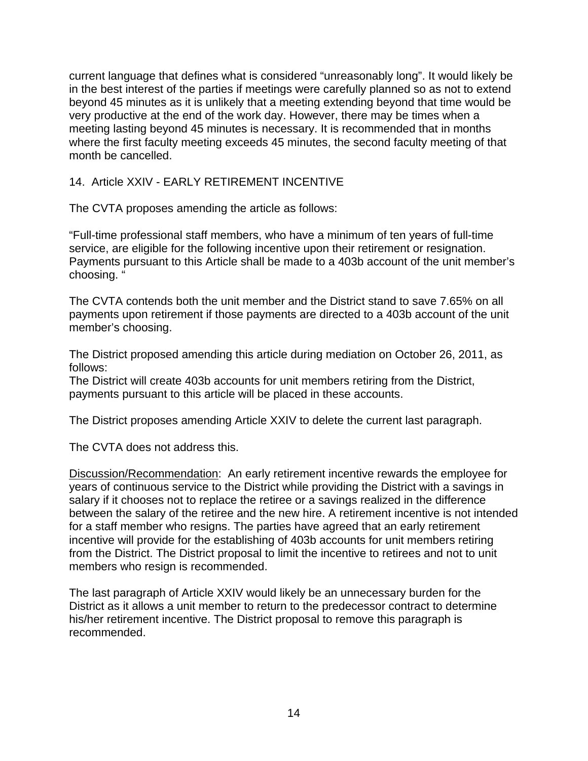current language that defines what is considered "unreasonably long". It would likely be in the best interest of the parties if meetings were carefully planned so as not to extend beyond 45 minutes as it is unlikely that a meeting extending beyond that time would be very productive at the end of the work day. However, there may be times when a meeting lasting beyond 45 minutes is necessary. It is recommended that in months where the first faculty meeting exceeds 45 minutes, the second faculty meeting of that month be cancelled.

### 14. Article XXIV - EARLY RETIREMENT INCENTIVE

The CVTA proposes amending the article as follows:

"Full-time professional staff members, who have a minimum of ten years of full-time service, are eligible for the following incentive upon their retirement or resignation. Payments pursuant to this Article shall be made to a 403b account of the unit member's choosing. "

The CVTA contends both the unit member and the District stand to save 7.65% on all payments upon retirement if those payments are directed to a 403b account of the unit member's choosing.

The District proposed amending this article during mediation on October 26, 2011, as follows:

The District will create 403b accounts for unit members retiring from the District, payments pursuant to this article will be placed in these accounts.

The District proposes amending Article XXIV to delete the current last paragraph.

The CVTA does not address this.

Discussion/Recommendation: An early retirement incentive rewards the employee for years of continuous service to the District while providing the District with a savings in salary if it chooses not to replace the retiree or a savings realized in the difference between the salary of the retiree and the new hire. A retirement incentive is not intended for a staff member who resigns. The parties have agreed that an early retirement incentive will provide for the establishing of 403b accounts for unit members retiring from the District. The District proposal to limit the incentive to retirees and not to unit members who resign is recommended.

The last paragraph of Article XXIV would likely be an unnecessary burden for the District as it allows a unit member to return to the predecessor contract to determine his/her retirement incentive. The District proposal to remove this paragraph is recommended.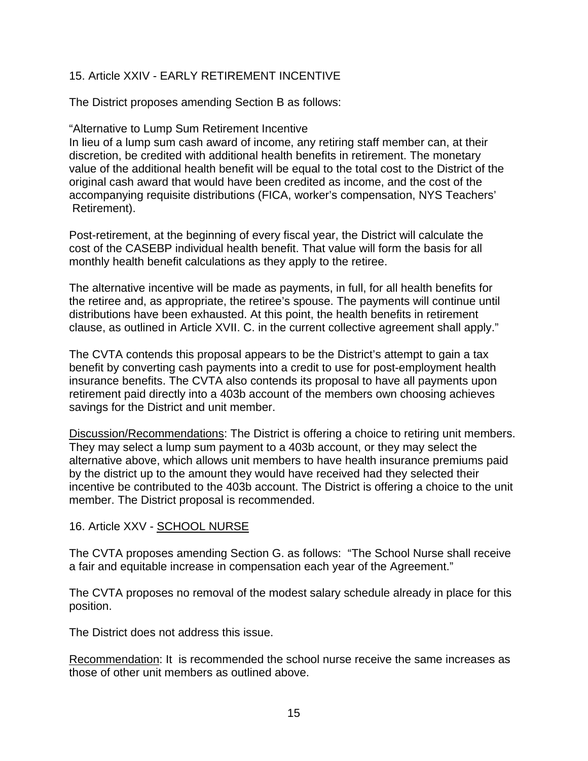## 15. Article XXIV - EARLY RETIREMENT INCENTIVE

The District proposes amending Section B as follows:

#### "Alternative to Lump Sum Retirement Incentive

In lieu of a lump sum cash award of income, any retiring staff member can, at their discretion, be credited with additional health benefits in retirement. The monetary value of the additional health benefit will be equal to the total cost to the District of the original cash award that would have been credited as income, and the cost of the accompanying requisite distributions (FICA, worker's compensation, NYS Teachers' Retirement).

Post-retirement, at the beginning of every fiscal year, the District will calculate the cost of the CASEBP individual health benefit. That value will form the basis for all monthly health benefit calculations as they apply to the retiree.

The alternative incentive will be made as payments, in full, for all health benefits for the retiree and, as appropriate, the retiree's spouse. The payments will continue until distributions have been exhausted. At this point, the health benefits in retirement clause, as outlined in Article XVII. C. in the current collective agreement shall apply."

The CVTA contends this proposal appears to be the District's attempt to gain a tax benefit by converting cash payments into a credit to use for post-employment health insurance benefits. The CVTA also contends its proposal to have all payments upon retirement paid directly into a 403b account of the members own choosing achieves savings for the District and unit member.

Discussion/Recommendations: The District is offering a choice to retiring unit members. They may select a lump sum payment to a 403b account, or they may select the alternative above, which allows unit members to have health insurance premiums paid by the district up to the amount they would have received had they selected their incentive be contributed to the 403b account. The District is offering a choice to the unit member. The District proposal is recommended.

#### 16. Article XXV - SCHOOL NURSE

The CVTA proposes amending Section G. as follows: "The School Nurse shall receive a fair and equitable increase in compensation each year of the Agreement."

The CVTA proposes no removal of the modest salary schedule already in place for this position.

The District does not address this issue.

Recommendation: It is recommended the school nurse receive the same increases as those of other unit members as outlined above.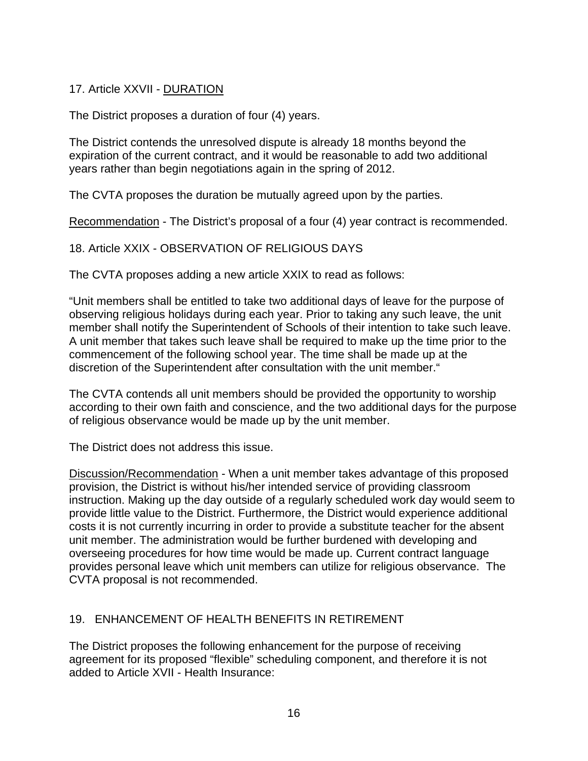17. Article XXVII - DURATION

The District proposes a duration of four (4) years.

The District contends the unresolved dispute is already 18 months beyond the expiration of the current contract, and it would be reasonable to add two additional years rather than begin negotiations again in the spring of 2012.

The CVTA proposes the duration be mutually agreed upon by the parties.

Recommendation - The District's proposal of a four (4) year contract is recommended.

18. Article XXIX - OBSERVATION OF RELIGIOUS DAYS

The CVTA proposes adding a new article XXIX to read as follows:

"Unit members shall be entitled to take two additional days of leave for the purpose of observing religious holidays during each year. Prior to taking any such leave, the unit member shall notify the Superintendent of Schools of their intention to take such leave. A unit member that takes such leave shall be required to make up the time prior to the commencement of the following school year. The time shall be made up at the discretion of the Superintendent after consultation with the unit member."

The CVTA contends all unit members should be provided the opportunity to worship according to their own faith and conscience, and the two additional days for the purpose of religious observance would be made up by the unit member.

The District does not address this issue.

Discussion/Recommendation - When a unit member takes advantage of this proposed provision, the District is without his/her intended service of providing classroom instruction. Making up the day outside of a regularly scheduled work day would seem to provide little value to the District. Furthermore, the District would experience additional costs it is not currently incurring in order to provide a substitute teacher for the absent unit member. The administration would be further burdened with developing and overseeing procedures for how time would be made up. Current contract language provides personal leave which unit members can utilize for religious observance. The CVTA proposal is not recommended.

## 19. ENHANCEMENT OF HEALTH BENEFITS IN RETIREMENT

The District proposes the following enhancement for the purpose of receiving agreement for its proposed "flexible" scheduling component, and therefore it is not added to Article XVII - Health Insurance: